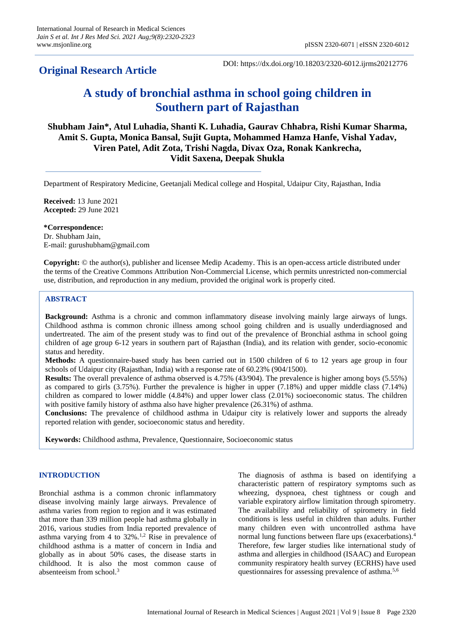# **Original Research Article**

DOI: https://dx.doi.org/10.18203/2320-6012.ijrms20212776

# **A study of bronchial asthma in school going children in Southern part of Rajasthan**

# **Shubham Jain\*, Atul Luhadia, Shanti K. Luhadia, Gaurav Chhabra, Rishi Kumar Sharma, Amit S. Gupta, Monica Bansal, Sujit Gupta, Mohammed Hamza Hanfe, Vishal Yadav, Viren Patel, Adit Zota, Trishi Nagda, Divax Oza, Ronak Kankrecha, Vidit Saxena, Deepak Shukla**

Department of Respiratory Medicine, Geetanjali Medical college and Hospital, Udaipur City, Rajasthan, India

**Received:** 13 June 2021 **Accepted:** 29 June 2021

### **\*Correspondence:**

Dr. Shubham Jain, E-mail: gurushubham@gmail.com

**Copyright:** © the author(s), publisher and licensee Medip Academy. This is an open-access article distributed under the terms of the Creative Commons Attribution Non-Commercial License, which permits unrestricted non-commercial use, distribution, and reproduction in any medium, provided the original work is properly cited.

# **ABSTRACT**

**Background:** Asthma is a chronic and common inflammatory disease involving mainly large airways of lungs. Childhood asthma is common chronic illness among school going children and is usually underdiagnosed and undertreated. The aim of the present study was to find out of the prevalence of Bronchial asthma in school going children of age group 6-12 years in southern part of Rajasthan (India), and its relation with gender, socio-economic status and heredity.

**Methods:** A questionnaire-based study has been carried out in 1500 children of 6 to 12 years age group in four schools of Udaipur city (Rajasthan, India) with a response rate of 60.23% (904/1500).

**Results:** The overall prevalence of asthma observed is 4.75% (43/904). The prevalence is higher among boys (5.55%) as compared to girls (3.75%). Further the prevalence is higher in upper (7.18%) and upper middle class (7.14%) children as compared to lower middle (4.84%) and upper lower class (2.01%) socioeconomic status. The children with positive family history of asthma also have higher prevalence (26.31%) of asthma.

**Conclusions:** The prevalence of childhood asthma in Udaipur city is relatively lower and supports the already reported relation with gender, socioeconomic status and heredity.

**Keywords:** Childhood asthma, Prevalence, Questionnaire, Socioeconomic status

## **INTRODUCTION**

Bronchial asthma is a common chronic inflammatory disease involving mainly large airways. Prevalence of asthma varies from region to region and it was estimated that more than 339 million people had asthma globally in 2016, various studies from India reported prevalence of asthma varying from 4 to  $32\%$ .<sup>1,2</sup> Rise in prevalence of childhood asthma is a matter of concern in India and globally as in about 50% cases, the disease starts in childhood. It is also the most common cause of absenteeism from school.<sup>3</sup>

The diagnosis of asthma is based on identifying a characteristic pattern of respiratory symptoms such as wheezing, dyspnoea, chest tightness or cough and variable expiratory airflow limitation through spirometry. The availability and reliability of spirometry in field conditions is less useful in children than adults. Further many children even with uncontrolled asthma have normal lung functions between flare ups (exacerbations).<sup>4</sup> Therefore, few larger studies like international study of asthma and allergies in childhood (ISAAC) and European community respiratory health survey (ECRHS) have used questionnaires for assessing prevalence of asthma.5,6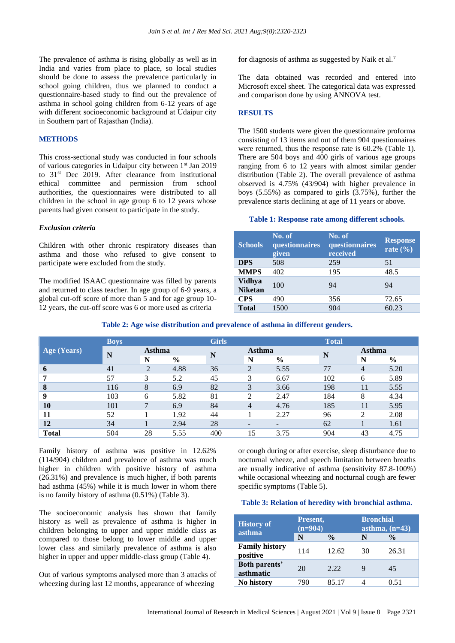The prevalence of asthma is rising globally as well as in India and varies from place to place, so local studies should be done to assess the prevalence particularly in school going children, thus we planned to conduct a questionnaire-based study to find out the prevalence of asthma in school going children from 6-12 years of age with different socioeconomic background at Udaipur city in Southern part of Rajasthan (India).

#### **METHODS**

This cross-sectional study was conducted in four schools of various categories in Udaipur city between 1st Jan 2019 to 31<sup>st</sup> Dec 2019. After clearance from institutional ethical committee and permission from school authorities, the questionnaires were distributed to all children in the school in age group 6 to 12 years whose parents had given consent to participate in the study.

#### *Exclusion criteria*

Children with other chronic respiratory diseases than asthma and those who refused to give consent to participate were excluded from the study.

The modified ISAAC questionnaire was filled by parents and returned to class teacher. In age group of 6-9 years, a global cut-off score of more than 5 and for age group 10- 12 years, the cut-off score was 6 or more used as criteria

for diagnosis of asthma as suggested by Naik et al.<sup>7</sup>

The data obtained was recorded and entered into Microsoft excel sheet. The categorical data was expressed and comparison done by using ANNOVA test.

#### **RESULTS**

The 1500 students were given the questionnaire proforma consisting of 13 items and out of them 904 questionnaires were returned, thus the response rate is 60.2% (Table 1). There are 504 boys and 400 girls of various age groups ranging from 6 to 12 years with almost similar gender distribution (Table 2). The overall prevalence of asthma observed is 4.75% (43/904) with higher prevalence in boys (5.55%) as compared to girls (3.75%), further the prevalence starts declining at age of 11 years or above.

#### **Table 1: Response rate among different schools.**

| <b>Schools</b>                  | No. of<br>questionnaires<br>given | No. of<br>questionnaires<br>received | <b>Response</b><br>rate $(\% )$ |
|---------------------------------|-----------------------------------|--------------------------------------|---------------------------------|
| <b>DPS</b>                      | 508                               | 259                                  | 51                              |
| <b>MMPS</b>                     | 402                               | 195                                  | 48.5                            |
| <b>Vidhya</b><br><b>Niketan</b> | 100                               | 94                                   | 94                              |
| <b>CPS</b>                      | 490                               | 356                                  | 72.65                           |
| <b>Total</b>                    | 1500                              | 904                                  | 60.23                           |

#### **Table 2: Age wise distribution and prevalence of asthma in different genders.**

|              | <b>Boys</b> |                |               | <b>Girls</b> |                          |               | <b>Total</b> |                |               |
|--------------|-------------|----------------|---------------|--------------|--------------------------|---------------|--------------|----------------|---------------|
| Age (Years)  | N           | Asthma         |               |              | Asthma                   |               |              | <b>Asthma</b>  |               |
|              |             | N              | $\frac{0}{0}$ | N            | N                        | $\frac{0}{0}$ | N            | N              | $\frac{0}{0}$ |
| 6            | 41          | $\overline{2}$ | 4.88          | 36           | $\overline{2}$           | 5.55          | 77           | $\overline{4}$ | 5.20          |
| 7            | 57          | 3              | 5.2           | 45           | 3                        | 6.67          | 102          | 6              | 5.89          |
| 8            | 116         | 8              | 6.9           | 82           | 3                        | 3.66          | 198          | 11             | 5.55          |
| 9            | 103         | 6              | 5.82          | 81           | 2                        | 2.47          | 184          | 8              | 4.34          |
| <b>10</b>    | 101         | 7              | 6.9           | 84           | $\overline{4}$           | 4.76          | 185          | 11             | 5.95          |
| 11           | 52          |                | 1.92          | 44           |                          | 2.27          | 96           | 2              | 2.08          |
| 12           | 34          |                | 2.94          | 28           | $\overline{\phantom{a}}$ |               | 62           |                | 1.61          |
| <b>Total</b> | 504         | 28             | 5.55          | 400          | 15                       | 3.75          | 904          | 43             | 4.75          |

Family history of asthma was positive in 12.62% (114/904) children and prevalence of asthma was much higher in children with positive history of asthma (26.31%) and prevalence is much higher, if both parents had asthma (45%) while it is much lower in whom there is no family history of asthma (0.51%) (Table 3).

The socioeconomic analysis has shown that family history as well as prevalence of asthma is higher in children belonging to upper and upper middle class as compared to those belong to lower middle and upper lower class and similarly prevalence of asthma is also higher in upper and upper middle-class group (Table 4).

Out of various symptoms analysed more than 3 attacks of wheezing during last 12 months, appearance of wheezing

or cough during or after exercise, sleep disturbance due to nocturnal wheeze, and speech limitation between breaths are usually indicative of asthma (sensitivity 87.8-100%) while occasional wheezing and nocturnal cough are fewer specific symptoms (Table 5).

#### **Table 3: Relation of heredity with bronchial asthma.**

| <b>History of</b><br>asthma       | Present,<br>$(n=904)$ |               | <b>Bronchial</b><br>asthma, $(n=43)$ |               |  |
|-----------------------------------|-----------------------|---------------|--------------------------------------|---------------|--|
|                                   | N                     | $\frac{0}{0}$ | N                                    | $\frac{0}{0}$ |  |
| <b>Family history</b><br>positive | 114                   | 12.62         | 30                                   | 26.31         |  |
| <b>Both parents'</b><br>asthmatic | 20                    | 2.22          | 9                                    | 45            |  |
| No history                        | 790                   | 85.17         |                                      | 0.51          |  |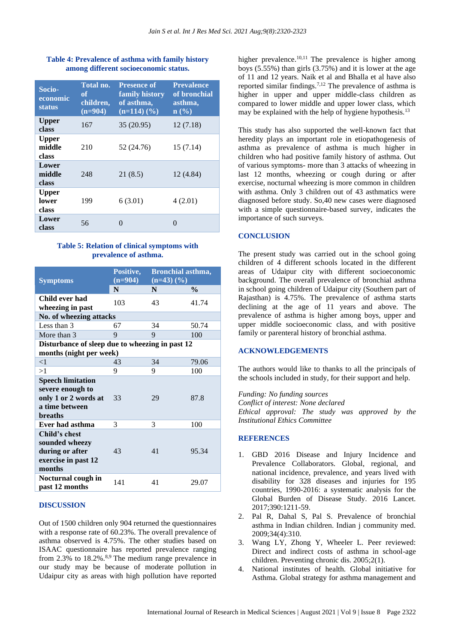#### **Table 4: Prevalence of asthma with family history among different socioeconomic status.**

| Socio-<br>economic<br><b>status</b> | Total no.<br>оf<br>children,<br>$(n=904)$ | <b>Presence of</b><br>family history<br>of asthma,<br>$(n=114)$ $(\frac{9}{6})$ | <b>Prevalence</b><br>of bronchial<br>asthma,<br>n(%) |
|-------------------------------------|-------------------------------------------|---------------------------------------------------------------------------------|------------------------------------------------------|
| <b>Upper</b><br>class               | 167                                       | 35 (20.95)                                                                      | 12(7.18)                                             |
| <b>Upper</b><br>middle<br>class     | 210                                       | 52 (24.76)                                                                      | 15(7.14)                                             |
| Lower<br>middle<br>class            | 248                                       | 21(8.5)                                                                         | 12(4.84)                                             |
| <b>Upper</b><br>lower<br>class      | 199                                       | 6(3.01)                                                                         | 4(2.01)                                              |
| Lower<br>class                      | 56                                        | $\mathbf{\Omega}$                                                               | 0                                                    |

#### **Table 5: Relation of clinical symptoms with prevalence of asthma.**

| <b>Symptoms</b>                                                                                          | Positive,<br>$(n=904)$ | <b>Bronchial asthma,</b><br>$(n=43)$ $(\frac{9}{6})$ |               |  |  |  |
|----------------------------------------------------------------------------------------------------------|------------------------|------------------------------------------------------|---------------|--|--|--|
|                                                                                                          | N                      | N                                                    | $\frac{0}{0}$ |  |  |  |
| Child ever had<br>wheezing in past                                                                       | 103                    | 43                                                   | 41.74         |  |  |  |
| No. of wheezing attacks                                                                                  |                        |                                                      |               |  |  |  |
| Less than 3                                                                                              | 67                     | 34                                                   | 50.74         |  |  |  |
| More than 3                                                                                              | 9                      | 9                                                    | 100           |  |  |  |
| Disturbance of sleep due to wheezing in past 12                                                          |                        |                                                      |               |  |  |  |
| months (night per week)                                                                                  |                        |                                                      |               |  |  |  |
| $\leq$ 1                                                                                                 | 43                     | 34                                                   | 79.06         |  |  |  |
| >1                                                                                                       | 9                      | 9                                                    | 100           |  |  |  |
| <b>Speech limitation</b><br>severe enough to<br>only 1 or 2 words at<br>a time between<br><b>breaths</b> | 33                     | 29                                                   | 87.8          |  |  |  |
| Ever had asthma                                                                                          | 3                      | 3                                                    | 100           |  |  |  |
| Child's chest<br>sounded wheezy<br>during or after<br>exercise in past 12<br>months                      | 43                     | 41                                                   | 95.34         |  |  |  |
| Nocturnal cough in<br>past 12 months                                                                     | 141                    | 41                                                   | 29.07         |  |  |  |

#### **DISCUSSION**

Out of 1500 children only 904 returned the questionnaires with a response rate of 60.23%. The overall prevalence of asthma observed is 4.75%. The other studies based on ISAAC questionnaire has reported prevalence ranging from 2.3% to 18.2%.<sup>8,9</sup> The medium range prevalence in our study may be because of moderate pollution in Udaipur city as areas with high pollution have reported higher prevalence.<sup>10,11</sup> The prevalence is higher among boys (5.55%) than girls (3.75%) and it is lower at the age of 11 and 12 years. Naik et al and Bhalla et al have also reported similar findings.7,12 The prevalence of asthma is higher in upper and upper middle-class children as compared to lower middle and upper lower class, which may be explained with the help of hygiene hypothesis.<sup>13</sup>

This study has also supported the well-known fact that heredity plays an important role in etiopathogenesis of asthma as prevalence of asthma is much higher in children who had positive family history of asthma. Out of various symptoms- more than 3 attacks of wheezing in last 12 months, wheezing or cough during or after exercise, nocturnal wheezing is more common in children with asthma. Only 3 children out of 43 asthmatics were diagnosed before study. So,40 new cases were diagnosed with a simple questionnaire-based survey, indicates the importance of such surveys.

#### **CONCLUSION**

The present study was carried out in the school going children of 4 different schools located in the different areas of Udaipur city with different socioeconomic background. The overall prevalence of bronchial asthma in school going children of Udaipur city (Southern part of Rajasthan) is 4.75%. The prevalence of asthma starts declining at the age of 11 years and above. The prevalence of asthma is higher among boys, upper and upper middle socioeconomic class, and with positive family or parenteral history of bronchial asthma.

#### **ACKNOWLEDGEMENTS**

The authors would like to thanks to all the principals of the schools included in study, for their support and help.

*Funding: No funding sources Conflict of interest: None declared Ethical approval: The study was approved by the Institutional Ethics Committee*

## **REFERENCES**

- 1. GBD 2016 Disease and Injury Incidence and Prevalence Collaborators. Global, regional, and national incidence, prevalence, and years lived with disability for 328 diseases and injuries for 195 countries, 1990-2016: a systematic analysis for the Global Burden of Disease Study. 2016 Lancet. 2017;390:1211-59.
- 2. Pal R, Dahal S, Pal S. Prevalence of bronchial asthma in Indian children. Indian j community med. 2009;34(4):310.
- 3. Wang LY, Zhong Y, Wheeler L. Peer reviewed: Direct and indirect costs of asthma in school-age children. Preventing chronic dis. 2005;2(1).
- 4. National institutes of health. Global initiative for Asthma. Global strategy for asthma management and